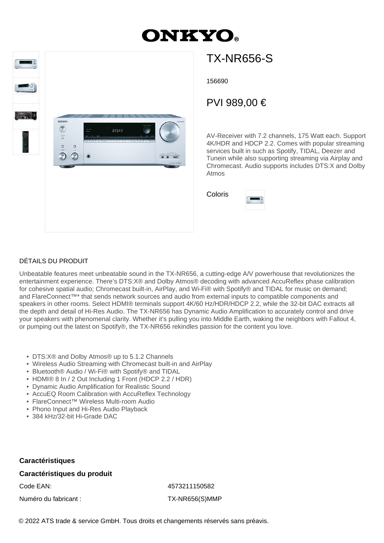# **ONKYO**



## TX-NR656-S

156690

### PVI 989,00 €

AV-Receiver with 7.2 channels, 175 Watt each. Support 4K/HDR and HDCP 2.2. Comes with popular streaming services built in such as Spotify, TIDAL, Deezer and Tunein while also supporting streaming via Airplay and Chromecast. Audio supports includes DTS:X and Dolby Atmos

Coloris

| ٠<br>i |  |  |
|--------|--|--|
|        |  |  |

#### DÉTAILS DU PRODUIT

Unbeatable features meet unbeatable sound in the TX-NR656, a cutting-edge A/V powerhouse that revolutionizes the entertainment experience. There's DTS:X® and Dolby Atmos® decoding with advanced AccuReflex phase calibration for cohesive spatial audio; Chromecast built-in, AirPlay, and Wi-Fi® with Spotify® and TIDAL for music on demand; and FlareConnect™\* that sends network sources and audio from external inputs to compatible components and speakers in other rooms. Select HDMI® terminals support 4K/60 Hz/HDR/HDCP 2.2, while the 32-bit DAC extracts all the depth and detail of Hi-Res Audio. The TX-NR656 has Dynamic Audio Amplification to accurately control and drive your speakers with phenomenal clarity. Whether it's pulling you into Middle Earth, waking the neighbors with Fallout 4, or pumping out the latest on Spotify®, the TX-NR656 rekindles passion for the content you love.

- DTS:X® and Dolby Atmos® up to 5.1.2 Channels
- Wireless Audio Streaming with Chromecast built-in and AirPlay
- Bluetooth® Audio / Wi-Fi® with Spotify® and TIDAL
- HDMI® 8 In / 2 Out Including 1 Front (HDCP 2.2 / HDR)
- Dynamic Audio Amplification for Realistic Sound
- AccuEQ Room Calibration with AccuReflex Technology
- FlareConnect™ Wireless Multi-room Audio
- Phono Input and Hi-Res Audio Playback
- 384 kHz/32-bit Hi-Grade DAC

#### **Caractéristiques**

#### **Caractéristiques du produit**

Numéro du fabricant : TX-NR656(S)MMP

Code EAN: 4573211150582

© 2022 ATS trade & service GmbH. Tous droits et changements réservés sans préavis.